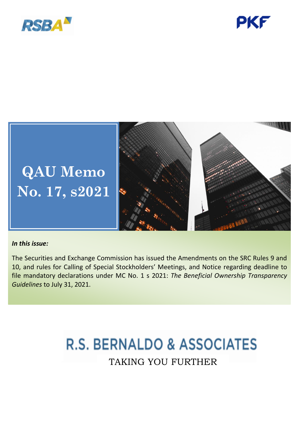





## *In this issue:*

The Securities and Exchange Commission has issued the Amendments on the SRC Rules 9 and 10, and rules for Calling of Special Stockholders' Meetings, and Notice regarding deadline to file mandatory declarations under MC No. 1 s 2021: *The Beneficial Ownership Transparency Guidelines* to July 31, 2021.

# **R.S. BERNALDO & ASSOCIATES** TAKING YOU FURTHER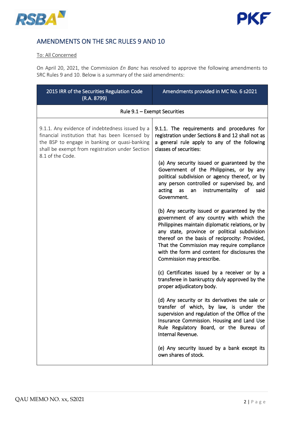



## AMENDMENTS ON THE SRC RULES 9 AND 10

### To: All Concerned

On April 20, 2021, the Commission *En Banc* has resolved to approve the following amendments to SRC Rules 9 and 10. Below is a summary of the said amendments:

| 2015 IRR of the Securities Regulation Code<br>(R.A. 8799)                                                                                                                                                                  | Amendments provided in MC No. 6 s2021                                                                                                                                                                                                                                                                                                                                      |  |
|----------------------------------------------------------------------------------------------------------------------------------------------------------------------------------------------------------------------------|----------------------------------------------------------------------------------------------------------------------------------------------------------------------------------------------------------------------------------------------------------------------------------------------------------------------------------------------------------------------------|--|
| Rule 9.1 - Exempt Securities                                                                                                                                                                                               |                                                                                                                                                                                                                                                                                                                                                                            |  |
| 9.1.1. Any evidence of indebtedness issued by a<br>financial institution that has been licensed by<br>the BSP to engage in banking or quasi-banking<br>shall be exempt from registration under Section<br>8.1 of the Code. | 9.1.1. The requirements and procedures for<br>registration under Sections 8 and 12 shall not as<br>a general rule apply to any of the following<br>classes of securities:                                                                                                                                                                                                  |  |
|                                                                                                                                                                                                                            | (a) Any security issued or guaranteed by the<br>Government of the Philippines, or by any<br>political subdivision or agency thereof, or by<br>any person controlled or supervised by, and<br>acting<br>instrumentality<br>of<br>said<br>as<br>an<br>Government.                                                                                                            |  |
|                                                                                                                                                                                                                            | (b) Any security issued or guaranteed by the<br>government of any country with which the<br>Philippines maintain diplomatic relations, or by<br>any state, province or political subdivision<br>thereof on the basis of reciprocity: Provided,<br>That the Commission may require compliance<br>with the form and content for disclosures the<br>Commission may prescribe. |  |
|                                                                                                                                                                                                                            | (c) Certificates issued by a receiver or by a<br>transferee in bankruptcy duly approved by the<br>proper adjudicatory body.                                                                                                                                                                                                                                                |  |
|                                                                                                                                                                                                                            | (d) Any security or its derivatives the sale or<br>transfer of which, by law, is under the<br>supervision and regulation of the Office of the<br>Insurance Commission. Housing and Land Use<br>Rule Regulatory Board, or the Bureau of<br>Internal Revenue.                                                                                                                |  |
|                                                                                                                                                                                                                            | (e) Any security issued by a bank except its<br>own shares of stock.                                                                                                                                                                                                                                                                                                       |  |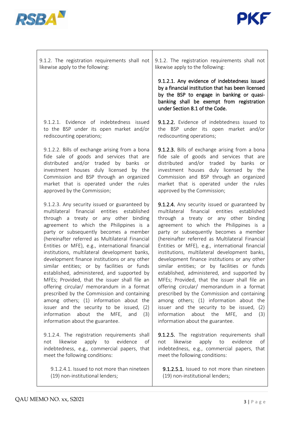



| 9.1.2. The registration requirements shall not                                                                                                                                                                                                                                                                                                                                                                                                                                                                                                                                                                                                                                                                                                                                                                                                                 | 9.1.2. The registration requirements shall not                                                                                                                                                                                                                                                                                                                                                                                                                                                                                                                                                                                                                                                                                                                                                                                                                          |
|----------------------------------------------------------------------------------------------------------------------------------------------------------------------------------------------------------------------------------------------------------------------------------------------------------------------------------------------------------------------------------------------------------------------------------------------------------------------------------------------------------------------------------------------------------------------------------------------------------------------------------------------------------------------------------------------------------------------------------------------------------------------------------------------------------------------------------------------------------------|-------------------------------------------------------------------------------------------------------------------------------------------------------------------------------------------------------------------------------------------------------------------------------------------------------------------------------------------------------------------------------------------------------------------------------------------------------------------------------------------------------------------------------------------------------------------------------------------------------------------------------------------------------------------------------------------------------------------------------------------------------------------------------------------------------------------------------------------------------------------------|
| likewise apply to the following:                                                                                                                                                                                                                                                                                                                                                                                                                                                                                                                                                                                                                                                                                                                                                                                                                               | likewise apply to the following:                                                                                                                                                                                                                                                                                                                                                                                                                                                                                                                                                                                                                                                                                                                                                                                                                                        |
|                                                                                                                                                                                                                                                                                                                                                                                                                                                                                                                                                                                                                                                                                                                                                                                                                                                                | 9.1.2.1. Any evidence of indebtedness issued<br>by a financial institution that has been licensed<br>by the BSP to engage in banking or quasi-<br>banking shall be exempt from registration<br>under Section 8.1 of the Code.                                                                                                                                                                                                                                                                                                                                                                                                                                                                                                                                                                                                                                           |
| 9.1.2.1. Evidence of indebtedness issued                                                                                                                                                                                                                                                                                                                                                                                                                                                                                                                                                                                                                                                                                                                                                                                                                       | 9.1.2.2. Evidence of indebtedness issued to                                                                                                                                                                                                                                                                                                                                                                                                                                                                                                                                                                                                                                                                                                                                                                                                                             |
| to the BSP under its open market and/or                                                                                                                                                                                                                                                                                                                                                                                                                                                                                                                                                                                                                                                                                                                                                                                                                        | the BSP under its open market and/or                                                                                                                                                                                                                                                                                                                                                                                                                                                                                                                                                                                                                                                                                                                                                                                                                                    |
| rediscounting operations;                                                                                                                                                                                                                                                                                                                                                                                                                                                                                                                                                                                                                                                                                                                                                                                                                                      | rediscounting operations;                                                                                                                                                                                                                                                                                                                                                                                                                                                                                                                                                                                                                                                                                                                                                                                                                                               |
| 9.1.2.2. Bills of exchange arising from a bona                                                                                                                                                                                                                                                                                                                                                                                                                                                                                                                                                                                                                                                                                                                                                                                                                 | 9.1.2.3. Bills of exchange arising from a bona                                                                                                                                                                                                                                                                                                                                                                                                                                                                                                                                                                                                                                                                                                                                                                                                                          |
| fide sale of goods and services that are                                                                                                                                                                                                                                                                                                                                                                                                                                                                                                                                                                                                                                                                                                                                                                                                                       | fide sale of goods and services that are                                                                                                                                                                                                                                                                                                                                                                                                                                                                                                                                                                                                                                                                                                                                                                                                                                |
| distributed and/or traded by banks or                                                                                                                                                                                                                                                                                                                                                                                                                                                                                                                                                                                                                                                                                                                                                                                                                          | distributed and/or traded by banks or                                                                                                                                                                                                                                                                                                                                                                                                                                                                                                                                                                                                                                                                                                                                                                                                                                   |
| investment houses duly licensed by the                                                                                                                                                                                                                                                                                                                                                                                                                                                                                                                                                                                                                                                                                                                                                                                                                         | investment houses duly licensed by the                                                                                                                                                                                                                                                                                                                                                                                                                                                                                                                                                                                                                                                                                                                                                                                                                                  |
| Commission and BSP through an organized                                                                                                                                                                                                                                                                                                                                                                                                                                                                                                                                                                                                                                                                                                                                                                                                                        | Commission and BSP through an organized                                                                                                                                                                                                                                                                                                                                                                                                                                                                                                                                                                                                                                                                                                                                                                                                                                 |
| market that is operated under the rules                                                                                                                                                                                                                                                                                                                                                                                                                                                                                                                                                                                                                                                                                                                                                                                                                        | market that is operated under the rules                                                                                                                                                                                                                                                                                                                                                                                                                                                                                                                                                                                                                                                                                                                                                                                                                                 |
| approved by the Commission;                                                                                                                                                                                                                                                                                                                                                                                                                                                                                                                                                                                                                                                                                                                                                                                                                                    | approved by the Commission;                                                                                                                                                                                                                                                                                                                                                                                                                                                                                                                                                                                                                                                                                                                                                                                                                                             |
| 9.1.2.3. Any security issued or guaranteed by<br>financial entities established<br>multilateral<br>through a treaty or any other binding<br>agreement to which the Philippines is a<br>party or subsequently becomes a member<br>(hereinafter referred as Multilateral Financial<br>Entities or MFE), e.g., international financial<br>institutions, multilateral development banks,<br>development finance institutions or any other<br>similar entities; or by facilities or funds<br>established, administered, and supported by<br>MFEs; Provided, that the issuer shall file an<br>offering circular/ memorandum in a format<br>prescribed by the Commission and containing<br>among others; (1) information about the<br>issuer and the security to be issued, (2)<br>information<br>about the<br>MFE,<br>and<br>(3)<br>information about the guarantee. | 9.1.2.4. Any security issued or guaranteed by<br>financial<br>multilateral<br>entities<br>established<br>through a treaty or any other binding<br>agreement to which the Philippines is a<br>party or subsequently becomes a member<br>(hereinafter referred as Multilateral Financial<br>Entities or MFE), e.g., international financial<br>institutions, multilateral development banks,<br>development finance institutions or any other<br>similar entities; or by facilities or funds<br>established, administered, and supported by<br>MFEs; Provided, that the issuer shall file an<br>offering circular/ memorandum in a format<br>prescribed by the Commission and containing<br>among others; (1) information about the<br>issuer and the security to be issued, (2)<br>information<br>about<br>the<br>MFE,<br>and<br>(3)<br>information about the guarantee. |
| 9.1.2.4. The registration requirements shall                                                                                                                                                                                                                                                                                                                                                                                                                                                                                                                                                                                                                                                                                                                                                                                                                   | 9.1.2.5. The registration requirements shall                                                                                                                                                                                                                                                                                                                                                                                                                                                                                                                                                                                                                                                                                                                                                                                                                            |
| likewise                                                                                                                                                                                                                                                                                                                                                                                                                                                                                                                                                                                                                                                                                                                                                                                                                                                       | likewise                                                                                                                                                                                                                                                                                                                                                                                                                                                                                                                                                                                                                                                                                                                                                                                                                                                                |
| apply                                                                                                                                                                                                                                                                                                                                                                                                                                                                                                                                                                                                                                                                                                                                                                                                                                                          | apply                                                                                                                                                                                                                                                                                                                                                                                                                                                                                                                                                                                                                                                                                                                                                                                                                                                                   |
| to                                                                                                                                                                                                                                                                                                                                                                                                                                                                                                                                                                                                                                                                                                                                                                                                                                                             | to                                                                                                                                                                                                                                                                                                                                                                                                                                                                                                                                                                                                                                                                                                                                                                                                                                                                      |
| evidence                                                                                                                                                                                                                                                                                                                                                                                                                                                                                                                                                                                                                                                                                                                                                                                                                                                       | evidence                                                                                                                                                                                                                                                                                                                                                                                                                                                                                                                                                                                                                                                                                                                                                                                                                                                                |
| of                                                                                                                                                                                                                                                                                                                                                                                                                                                                                                                                                                                                                                                                                                                                                                                                                                                             | not                                                                                                                                                                                                                                                                                                                                                                                                                                                                                                                                                                                                                                                                                                                                                                                                                                                                     |
| not                                                                                                                                                                                                                                                                                                                                                                                                                                                                                                                                                                                                                                                                                                                                                                                                                                                            | of                                                                                                                                                                                                                                                                                                                                                                                                                                                                                                                                                                                                                                                                                                                                                                                                                                                                      |
| indebtedness, e.g., commercial papers, that                                                                                                                                                                                                                                                                                                                                                                                                                                                                                                                                                                                                                                                                                                                                                                                                                    | indebtedness, e.g., commercial papers, that                                                                                                                                                                                                                                                                                                                                                                                                                                                                                                                                                                                                                                                                                                                                                                                                                             |
| meet the following conditions:                                                                                                                                                                                                                                                                                                                                                                                                                                                                                                                                                                                                                                                                                                                                                                                                                                 | meet the following conditions:                                                                                                                                                                                                                                                                                                                                                                                                                                                                                                                                                                                                                                                                                                                                                                                                                                          |
| 9.1.2.4.1. Issued to not more than nineteen                                                                                                                                                                                                                                                                                                                                                                                                                                                                                                                                                                                                                                                                                                                                                                                                                    | 9.1.2.5.1. Issued to not more than nineteen                                                                                                                                                                                                                                                                                                                                                                                                                                                                                                                                                                                                                                                                                                                                                                                                                             |

9.1.2.5.1. Issued to not more than nineteen (19) non-institutional lenders;

(19) non-institutional lenders;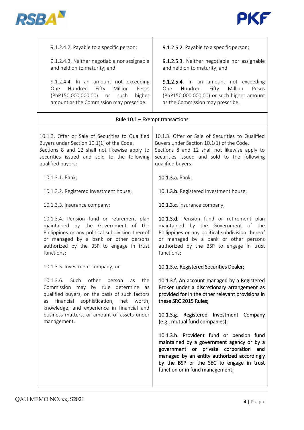



| 9.1.2.4.2. Payable to a specific person;                                                                                                                                                                                                                                                                   | 9.1.2.5.2. Payable to a specific person;                                                                                                                                                                                                                     |  |
|------------------------------------------------------------------------------------------------------------------------------------------------------------------------------------------------------------------------------------------------------------------------------------------------------------|--------------------------------------------------------------------------------------------------------------------------------------------------------------------------------------------------------------------------------------------------------------|--|
| 9.1.2.4.3. Neither negotiable nor assignable<br>and held on to maturity; and                                                                                                                                                                                                                               | 9.1.2.5.3. Neither negotiable nor assignable<br>and held on to maturity; and                                                                                                                                                                                 |  |
| 9.1.2.4.4. In an amount not exceeding<br>Hundred<br>Fifty<br>Million<br>Pesos<br>One<br>(PhP150,000,000.00) or<br>higher<br>such<br>amount as the Commission may prescribe.                                                                                                                                | 9.1.2.5.4. In an amount not exceeding<br>Pesos<br>Hundred<br>Fifty<br>Million<br>One<br>(PhP150,000,000.00) or such higher amount<br>as the Commission may prescribe.                                                                                        |  |
| Rule 10.1 - Exempt transactions                                                                                                                                                                                                                                                                            |                                                                                                                                                                                                                                                              |  |
| 10.1.3. Offer or Sale of Securities to Qualified<br>Buyers under Section 10.1(1) of the Code.<br>Sections 8 and 12 shall not likewise apply to<br>securities issued and sold to the following<br>qualified buyers:                                                                                         | 10.1.3. Offer or Sale of Securities to Qualified<br>Buyers under Section 10.1(1) of the Code.<br>Sections 8 and 12 shall not likewise apply to<br>securities issued and sold to the following<br>qualified buyers:                                           |  |
| 10.1.3.1. Bank;                                                                                                                                                                                                                                                                                            | 10.1.3.a. Bank;                                                                                                                                                                                                                                              |  |
| 10.1.3.2. Registered investment house;                                                                                                                                                                                                                                                                     | 10.1.3.b. Registered investment house;                                                                                                                                                                                                                       |  |
| 10.1.3.3. Insurance company;                                                                                                                                                                                                                                                                               | 10.1.3.c. Insurance company;                                                                                                                                                                                                                                 |  |
| 10.1.3.4. Pension fund or retirement plan<br>maintained by the Government of the<br>Philippines or any political subdivision thereof<br>or managed by a bank or other persons<br>authorized by the BSP to engage in trust<br>functions;                                                                    | 10.1.3.d. Pension fund or retirement plan<br>maintained by the Government of the<br>Philippines or any political subdivision thereof<br>or managed by a bank or other persons<br>authorized by the BSP to engage in trust<br>functions;                      |  |
| 10.1.3.5. Investment company; or                                                                                                                                                                                                                                                                           | 10.1.3.e. Registered Securities Dealer;                                                                                                                                                                                                                      |  |
| 10.1.3.6. Such<br>other<br>the<br>person<br>as<br>Commission may by rule determine<br>as<br>qualified buyers, on the basis of such factors<br>financial<br>sophistication, net<br>worth,<br>as<br>knowledge, and experience in financial and<br>business matters, or amount of assets under<br>management. | 10.1.3.f. An account managed by a Registered<br>Broker under a discretionary arrangement as<br>provided for in the other relevant provisions in<br>these SRC 2015 Rules;                                                                                     |  |
|                                                                                                                                                                                                                                                                                                            | 10.1.3.g. Registered Investment Company<br>(e.g., mutual fund companies);                                                                                                                                                                                    |  |
|                                                                                                                                                                                                                                                                                                            | 10.1.3.h. Provident fund or pension fund<br>maintained by a government agency or by a<br>government or private corporation and<br>managed by an entity authorized accordingly<br>by the BSP or the SEC to engage in trust<br>function or in fund management; |  |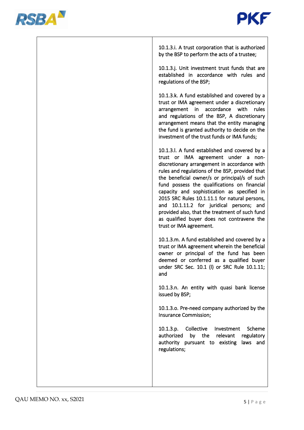



10.1.3.i. A trust corporation that is authorized by the BSP to perform the acts of a trustee;

10.1.3.j. Unit investment trust funds that are established in accordance with rules and regulations of the BSP;

10.1.3.k. A fund established and covered by a trust or IMA agreement under a discretionary arrangement in accordance with rules and regulations of the BSP, A discretionary arrangement means that the entity managing the fund is granted authority to decide on the investment of the trust funds or IMA funds;

10.1.3.l. A fund established and covered by a trust or IMA agreement under a nondiscretionary arrangement in accordance with rules and regulations of the BSP, provided that the beneficial owner/s or principal/s of such fund possess the qualifications on financial capacity and sophistication as specified in 2015 SRC Rules 10.1.11.1 for natural persons, and 10.1.11.2 for juridical persons; and provided also, that the treatment of such fund as qualified buyer does not contravene the trust or IMA agreement.

10.1.3.m. A fund established and covered by a trust or IMA agreement wherein the beneficial owner or principal of the fund has been deemed or conferred as a qualified buyer under SRC Sec. 10.1 (l) or SRC Rule 10.1.11; and

10.1.3.n. An entity with quasi bank license issued by BSP;

10.1.3.o. Pre-need company authorized by the Insurance Commission;

10.1.3.p. Collective Investment Scheme authorized by the relevant regulatory authority pursuant to existing laws and regulations;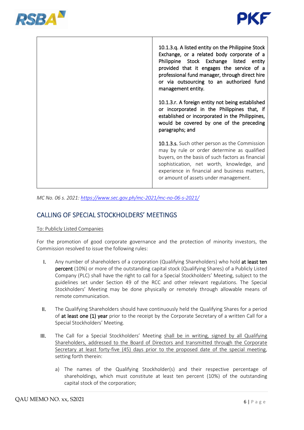



| 10.1.3.q. A listed entity on the Philippine Stock<br>Exchange, or a related body corporate of a<br>Philippine Stock Exchange listed entity<br>provided that it engages the service of a<br>professional fund manager, through direct hire<br>or via outsourcing to an authorized fund<br>management entity. |
|-------------------------------------------------------------------------------------------------------------------------------------------------------------------------------------------------------------------------------------------------------------------------------------------------------------|
| 10.1.3.r. A foreign entity not being established<br>or incorporated in the Philippines that, if<br>established or incorporated in the Philippines,<br>would be covered by one of the preceding<br>paragraphs; and                                                                                           |
| 10.1.3.s. Such other person as the Commission<br>may by rule or order determine as qualified<br>buyers, on the basis of such factors as financial<br>sophistication, net worth, knowledge, and<br>experience in financial and business matters,<br>or amount of assets under management.                    |

*MC No. 06 s. 2021:<https://www.sec.gov.ph/mc-2021/mc-no-06-s-2021/>*

## CALLING OF SPECIAL STOCKHOLDERS' MEETINGS

#### To: Publicly Listed Companies

For the promotion of good corporate governance and the protection of minority investors, the Commission resolved to issue the following rules:

- I. Any number of shareholders of a corporation (Qualifying Shareholders) who hold at least ten percent (10%) or more of the outstanding capital stock (Qualifying Shares) of a Publicly Listed Company (PLC) shall have the right to call for a Special Stockholders' Meeting, subject to the guidelines set under Section 49 of the RCC and other relevant regulations. The Special Stockholders' Meeting may be done physically or remotely through allowable means of remote communication.
- II. The Qualifying Shareholders should have continuously held the Qualifying Shares for a period of at least one (1) year prior to the receipt by the Corporate Secretary of a written Call for a Special Stockholders' Meeting.
- III. The Call for a Special Stockholders' Meeting shall be in writing, signed by all Qualifying Shareholders, addressed to the Board of Directors and transmitted through the Corporate Secretary at least forty-five (45) days prior to the proposed date of the special meeting, setting forth therein:
	- a) The names of the Qualifying Stockholder(s) and their respective percentage of shareholdings, which must constitute at least ten percent (10%) of the outstanding capital stock of the corporation;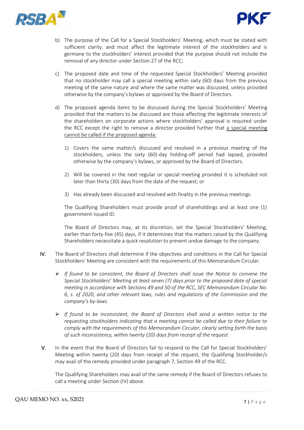



- b) The purpose of the Call for a Special Stockholders' Meeting, which must be stated with sufficient clarity, and must affect the legitimate interest of the stockholders and is germane to the stockholders' interest provided that the purpose should not include the removal of any director under Section 27 of the RCC;
- c) The proposed date and time of the requested Special Stockholders' Meeting provided that no stockholder may call a special meeting within sixty (60) days from the previous meeting of the same nature and where the same matter was discussed, unless provided otherwise by the company's bylaws or approved by the Board of Directors.
- d) The proposed agenda items to be discussed during the Special Stockholders' Meeting provided that the matters to be discussed are those affecting the legitimate interests of the shareholders on corporate actions where stockholders' approval is required under the RCC except the right to remove a director provided further that a special meeting cannot be called if the proposed agenda:
	- 1) Covers the same matter/s discussed and resolved in a previous meeting of the stockholders, unless the sixty (60)-day holding-off period had lapsed, provided otherwise by the company's bylaws, or approved by the Board of Directors.
	- 2) Will be covered in the next regular or special meeting provided it is scheduled not later than thirty (30) days from the date of the request; or
	- 3) Has already been discussed and resolved with finality in the previous meetings.

The Qualifying Shareholders must provide proof of shareholdings and at least one (1) government-issued ID.

The Board of Directors may, at its discretion, set the Special Stockholders' Meeting, earlier than forty-five (45) days, if it determines that the matters raised by the Qualifying Shareholders necessitate a quick resolution to prevent undue damage to the company.

- IV. The Board of Directors shall determine if the objectives and conditions in the Call for Special Stockholders' Meeting are consistent with the requirements of this Memorandum Circular.
	- ➢ *If found to be consistent, the Board of Directors shall issue the Notice to convene the Special Stockholders' Meeting at least seven (7) days prior to the proposed date of special meeting in accordance with Sections 49 and 50 of the RCC, SEC Memorandum Circular No. 6, s. of 2020, and other relevant laws, rules and regulations of the Commission and the company's by-laws.*
	- ➢ *If found to be inconsistent, the Board of Directors shall send a written notice to the requesting stockholders indicating that a meeting cannot be called due to their failure to comply with the requirements of this Memorandum Circular, clearly setting forth the basis of such inconsistency, within twenty (20) days from receipt of the request*
- V. In the event that the Board of Directors fail to respond to the Call for Special Stockholders' Meeting within twenty (20) days from receipt of the request, the Qualifying Stockholder/s may avail of the remedy provided under paragraph 7, Section 49 of the RCC.

The Qualifying Shareholders may avail of the same remedy if the Board of Directors refuses to call a meeting under Section (IV) above.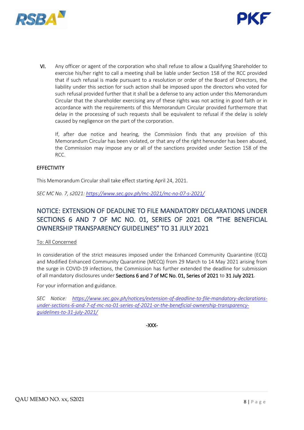



VI. Any officer or agent of the corporation who shall refuse to allow a Qualifying Shareholder to exercise his/her right to call a meeting shall be liable under Section 158 of the RCC provided that if such refusal is made pursuant to a resolution or order of the Board of Directors, the liability under this section for such action shall be imposed upon the directors who voted for such refusal provided further that it shall be a defense to any action under this Memorandum Circular that the shareholder exercising any of these rights was not acting in good faith or in accordance with the requirements of this Memorandum Circular provided furthermore that delay in the processing of such requests shall be equivalent to refusal if the delay is solely caused by negligence on the part of the corporation.

If, after due notice and hearing, the Commission finds that any provision of this Memorandum Circular has been violated, or that any of the right hereunder has been abused, the Commission may impose any or all of the sanctions provided under Section 158 of the RCC.

#### **EFFECTIVITY**

This Memorandum Circular shall take effect starting April 24, 2021.

*SEC MC No. 7, s2021: <https://www.sec.gov.ph/mc-2021/mc-no-07-s-2021/>*

## NOTICE: EXTENSION OF DEADLINE TO FILE MANDATORY DECLARATIONS UNDER SECTIONS 6 AND 7 OF MC NO. 01, SERIES OF 2021 OR "THE BENEFICIAL OWNERSHIP TRANSPARENCY GUIDELINES" TO 31 JULY 2021

#### To: All Concerned

In consideration of the strict measures imposed under the Enhanced Community Quarantine (ECQ) and Modified Enhanced Community Quarantine (MECQ) from 29 March to 14 May 2021 arising from the surge in COVID-19 infections, the Commission has further extended the deadline for submission of all mandatory disclosures under Sections 6 and 7 of MC No. 01, Series of 2021 to 31 July 2021.

For your information and guidance.

*SEC Notice: [https://www.sec.gov.ph/notices/extension-of-deadline-to-file-mandatory-declarations](https://www.sec.gov.ph/notices/extension-of-deadline-to-file-mandatory-declarations-under-sections-6-and-7-of-mc-no-01-series-of-2021-or-the-beneficial-ownership-transparency-guidelines-to-31-july-2021/)[under-sections-6-and-7-of-mc-no-01-series-of-2021-or-the-beneficial-ownership-transparency](https://www.sec.gov.ph/notices/extension-of-deadline-to-file-mandatory-declarations-under-sections-6-and-7-of-mc-no-01-series-of-2021-or-the-beneficial-ownership-transparency-guidelines-to-31-july-2021/)[guidelines-to-31-july-2021/](https://www.sec.gov.ph/notices/extension-of-deadline-to-file-mandatory-declarations-under-sections-6-and-7-of-mc-no-01-series-of-2021-or-the-beneficial-ownership-transparency-guidelines-to-31-july-2021/)*

-XXX-